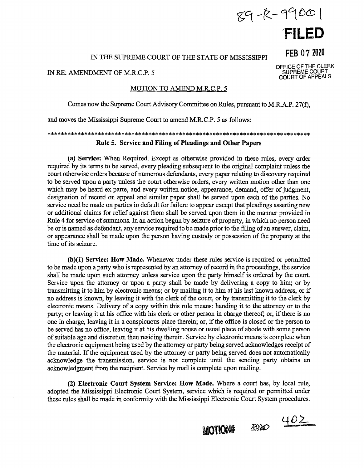# $89 - k - 9900$

**1 FILED** 

**FEB** 07 2020

OFFICE OF THE CLERK SUPREME COURT COURT OF APPEALS

## IN THE SUPREME COURT OF THE STATE OF MISSISSIPPI

#### IN RE: AMENDMENT OF M.R.C.P. 5

### MOTION TO AMEND M.R.C.P. 5

Comes now the Supreme Court Advisory Committee on Rules, pursuant to M.R.A.P. 27(f),

and moves the Mississippi Supreme Court to amend M.R.C.P. 5 as follows:

## \*\*\*\*\*\*\*\*\*\*\*\*\*\*\*\*\*\*\*\*\*\*\*\*\*\*\*\*\*\*\*\*\*\*\*\*\*\*\*\*\*\*\*\*\*\*\*\*\*\*\*\*\*\*\*\*\*\*\*\*\*\*\*\*\*\*\*\*\*\*\*\*\*\*\*\*\*\* **Rule 5. Service and Filing of Pleadings and Other Papers**

**(a) Service:** When Required. Except as otherwise provided in these rules, every order required by its terms to be served, every pleading subsequent to the original complaint unless the court otherwise orders because of numerous defendants, every paper relating to discovery required to be served upon a party unless the court otherwise orders, every written motion other than one which may be heard ex parte, and every written notice, appearance, demand, offer of judgment, designation of record on appeal and similar paper shall be served upon each of the parties. No service need be made on parties in default for failure to appear except that pleadings asserting new or additional claims for relief against them shall be served upon them in the manner provided in Rule 4 for service of summons. In an action begun by seizure of property, in which no person need be or is named as defendant, any service required to be made prior to the filing of an answer, claim, or appearance shall be made upon the person having custody or possession of the property at the time of its seizure.

**(b){l) Service: How Made.** Whenever under these rules service is required or permitted to be made upon a party who is represented by an attorney of record in the proceedings, the service shall be made upon such attorney unless service upon the party himself is ordered by the court. Service upon the attorney or upon a party shall be made by delivering a copy to him; or by transmitting it to him by electronic means; or by mailing it to him at his last known address, or if no address is known, by leaving it with the clerk of the court, or by transmitting it to the clerk by electronic means. Delivery of a copy within this rule means: handing it to the attorney or to the party; or leaving it at his office with his clerk or other person in charge thereof; or, if there is no one in charge, leaving it in a conspicuous place therein; or, if the office is closed or the person to be served has no office, leaving it at his dwelling house or usual place of abode with some person of suitable age and discretion then residing therein. Service by electronic means is complete when the electronic equipment being used by the attorney or party being served acknowledges receipt of the material. If the equipment used by the attorney or party being served does not automatically acknowledge the transmission, service is not complete until the sending party obtains an acknowledgment from the recipient. Service by mail is complete upon mailing.

**(2) Electronic Court System Service: How Made.** Where a court has, by local rule, adopted the Mississippi Electronic Court System, service which is required or permitted under these rules shall be made in conformity with the Mississippi Electronic Court System procedures.

MOTION# 2020 402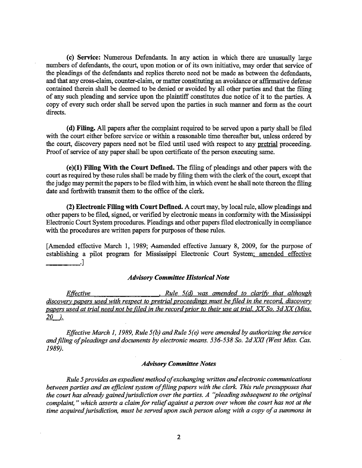**(c) Service:** Numerous Defendants. In any action in which there are unusually large numbers of defendants, the court, upon motion or of its own initiative, may order that service of the pleadings of the defendants and replies thereto need not be made as between the defendants, and that any cross-claim, counter-claim, or matter constituting an avoidance or affirmative defense contained therein shall be deemed to be denied or avoided by all other parties and that the filing of any such pleading and service upon the plaintiff constitutes due notice of it to the parties. A copy of every such order shall be served upon the parties in such manner and form as the court directs.

( **d) Filing.** All papers after the complaint required to be served upon a party shall be filed with the court either before service or within a reasonable time thereafter but, unless ordered by the court, discovery papers need not be filed until used with respect to any pretrial proceeding. Proof of service of any paper shall be upon certificate of the person executing same.

**(e)(l) Filing With the Court Defined.** The filing of pleadings and other papers with the court as required by these rules shall be made by filing them with the clerk of the court, except that the judge may permit the papers to be filed with him, in which event he shall note thereon the filing date and forthwith transmit them to the office of the clerk.

**(2) Electronic Filing with Court Defmed.** A court may, by local rule, allow pleadings and other papers to be filed, signed, or verified by electronic means in conformity with the Mississippi Electronic Court System procedures. Pleadings and other papers filed electronically in compliance with the procedures are written papers for purposes of these rules.

[Amended effective March 1, 1989; Aamended effective January 8, 2009, for the purpose of establishing a pilot program for Mississippi Electronic Court System; amended effective ~-~=·]

#### *Advisory Committee Historical Note*

*Effective* **•** *Rule 5(d)* was amended to clarify that although *discovery papers used with respect to pretrial proceedings must be filed in the record. discovery papers used at trial need not be filed in the record prior to their use at trial.* XX" *So. 3d* XX" *(Miss.*   $20$ .

*Effective March 1, 1989, Rule 5(b) and Rule 5(e) were amended by authorizing the service* and filing of pleadings and documents by electronic means. 536-538 So. 2d XXI (West Miss. Cas. *1989).* 

#### *Advisory Committee Notes*

*Rule 5 provides an expedient method of exchanging written and electronic communications between parties and an efficient system of filing papers with the clerk. This rule presupposes that the court has already gained jurisdiction over the parties. A ''pleading subsequent to the original complaint,* " *which asserts a claim for relief against a person over whom the court has not at the*  time acquired jurisdiction, must be served upon such person along with a copy of a summons in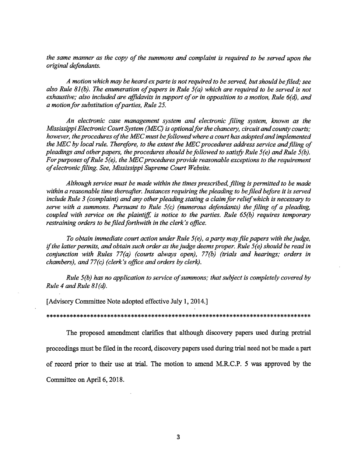*the same manner as the copy of the summons and complaint is required to be served upon the original defendants.* 

*A motion which may be heard ex parte is not required to be served, but should be filed,· see also Rule 81 (b). The enumeration of papers in Rule 5 ( a) which are required to be served is not exhaustive; also included are affidavits in support of or in opposition to a motion, Rule 6(d), and a motion for substitution of parties, Rule 25.* 

*An electronic case management system and electronic filing system, known as the Mississippi Electronic Court System (MEC) is optional for the chancery, circuit and county courts; however, the procedures of the MEC must be followed where a court has adopted and implemented*  the MEC by local rule. Therefore, to the extent the MEC procedures address service and filing of *pleadings and other papers, the procedures should be followed to satisfy Rule 5(e) and Rule 5(b). For purposes of Rule 5(e), the MEC procedures provide reasonable exceptions to the requirement of electronic filing. See, Mississippi Supreme Court Website.* 

*Although service must be made within the times prescribed, filing is permitted to be made*  within a reasonable time thereafter. Instances requiring the pleading to be filed before it is served *include Rule 3 (complaint) and any other pleading stating a claim for relief which is necessary to serve with a summons. Pursuant to Rule 5(c) (numerous defendants) the filing of a pleading, coupled with service on the plaintiff, is notice to the parties. Rule 65(b) requires temporary restraining orders to be filed forthwith in the clerk's office.* 

*To obtain immediate court action under Rule 5 ( e), a party may file papers with the judge, if the latter permits, and obtain such order as the judge deems proper. Rule 5(e) should be read in conjunction with Rules 77(a) (courts always open), 77(b) (trials and hearings; orders in chambers), and 77(c) (clerk's office and orders by clerk).* 

*Rule 5(b) has no application to service of summons; that subject is completely covered by Rule 4 and Rule 81(d).* 

[Advisory Committee Note adopted effective July 1, 2014.]

\*\*\*\*\*\*\*\*\*\*\*\*\*\*\*\*\*\*\*\*\*\*\*\*\*\*\*\*\*\*\*\*\*\*\*\*\*\*\*\*\*\*\*\*\*\*\*\*\*\*\*\*\*\*\*\*\*\*\*\*\*\*\*\*\*\*\*\*\*\*\*\*\*\*\*\*\*\*

The proposed amendment clarifies that although discovery papers used during pretrial proceedings must be filed in the record, discovery papers used during trial need not be made a part of record prior to their use at trial. The motion to amend M.RC.P. 5 was approved by the Committee on April 6, 2018.